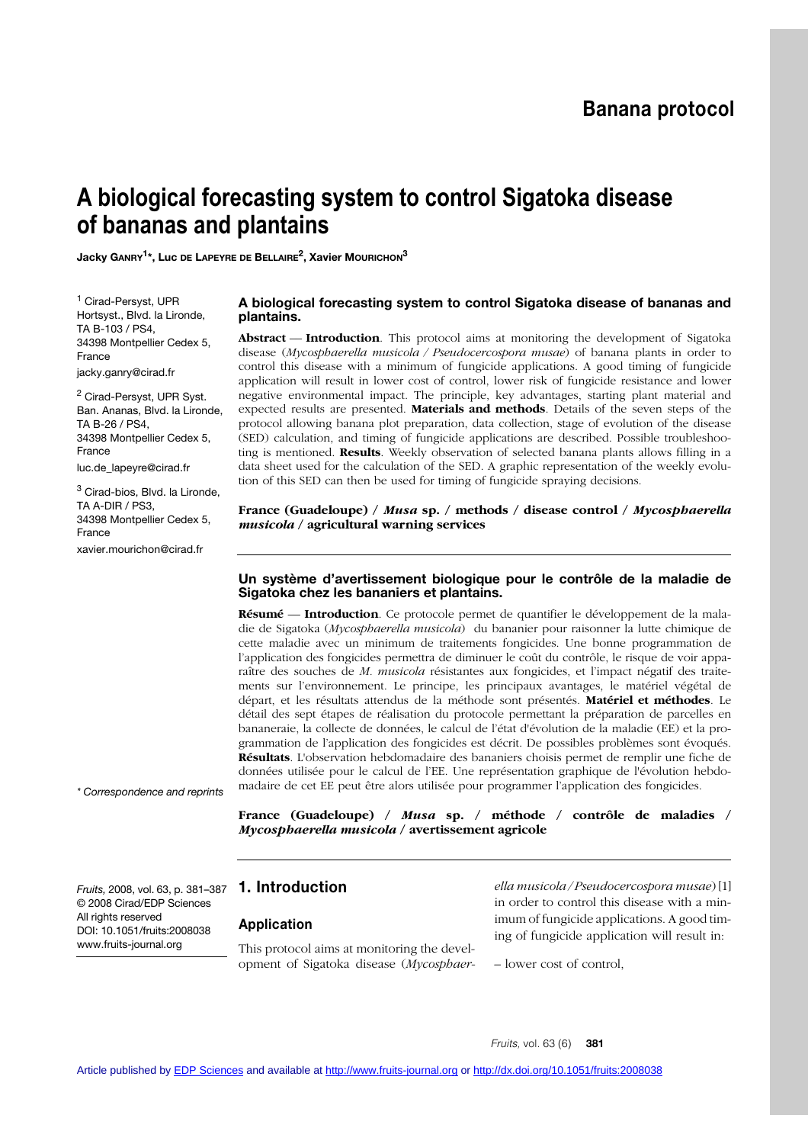# **Banana protocol**

# **A biological forecasting system to control Sigatoka disease of bananas and plantains**

**Jacky GANRY1\*, Luc DE LAPEYRE DE BELLAIRE2, Xavier MOURICHON3**

<sup>1</sup> Cirad-Persyst, UPR Hortsyst., Blvd. la Lironde, TA B-103 / PS4, 34398 Montpellier Cedex 5, France jacky.ganry@cirad.fr

<sup>2</sup> Cirad-Persyst, UPR Syst. Ban. Ananas, Blvd. la Lironde, TA B-26 / PS4, 34398 Montpellier Cedex 5, France luc.de\_lapeyre@cirad.fr

<sup>3</sup> Cirad-bios, Blvd. la Lironde, TA A-DIR / PS3, 34398 Montpellier Cedex 5, France xavier.mourichon@cirad.fr

### **A biological forecasting system to control Sigatoka disease of bananas and plantains.**

**Abstract** –– **Introduction**. This protocol aims at monitoring the development of Sigatoka disease (*Mycosphaerella musicola / Pseudocercospora musae*) of banana plants in order to control this disease with a minimum of fungicide applications. A good timing of fungicide application will result in lower cost of control, lower risk of fungicide resistance and lower negative environmental impact. The principle, key advantages, starting plant material and expected results are presented. **Materials and methods**. Details of the seven steps of the protocol allowing banana plot preparation, data collection, stage of evolution of the disease (SED) calculation, and timing of fungicide applications are described. Possible troubleshooting is mentioned. **Results**. Weekly observation of selected banana plants allows filling in a data sheet used for the calculation of the SED. A graphic representation of the weekly evolution of this SED can then be used for timing of fungicide spraying decisions.

**France (Guadeloupe) /** *Musa* **sp. / methods / disease control /** *Mycosphaerella musicola* **/ agricultural warning services**

## **Un système d'avertissement biologique pour le contrôle de la maladie de Sigatoka chez les bananiers et plantains.**

**Résumé** –– **Introduction**. Ce protocole permet de quantifier le développement de la maladie de Sigatoka (*Mycosphaerella musicola*) du bananier pour raisonner la lutte chimique de cette maladie avec un minimum de traitements fongicides. Une bonne programmation de l'application des fongicides permettra de diminuer le coût du contrôle, le risque de voir apparaître des souches de *M. musicola* résistantes aux fongicides, et l'impact négatif des traitements sur l'environnement. Le principe, les principaux avantages, le matériel végétal de départ, et les résultats attendus de la méthode sont présentés. **Matériel et méthodes**. Le détail des sept étapes de réalisation du protocole permettant la préparation de parcelles en bananeraie, la collecte de données, le calcul de l'état d'évolution de la maladie (EE) et la programmation de l'application des fongicides est décrit. De possibles problèmes sont évoqués. **Résultats**. L'observation hebdomadaire des bananiers choisis permet de remplir une fiche de données utilisée pour le calcul de l'EE. Une représentation graphique de l'évolution hebdomadaire de cet EE peut être alors utilisée pour programmer l'application des fongicides.

**France (Guadeloupe) /** *Musa* **sp. / méthode / contrôle de maladies /** *Mycosphaerella musicola* **/ avertissement agricole**

© 2008 Cirad/EDP Sciences All rights reserved DOI: 10.1051/fruits:2008038 www.fruits-journal.org

*\* Correspondence and reprints*

# **1. Introduction** *Fruits,* 2008, vol. 63, p. 381–387

#### **Application**

This protocol aims at monitoring the development of Sigatoka disease (*Mycosphaer-* *ella musicola / Pseudocercospora musae*) [1] in order to control this disease with a minimum of fungicide applications. A good timing of fungicide application will result in:

– lower cost of control,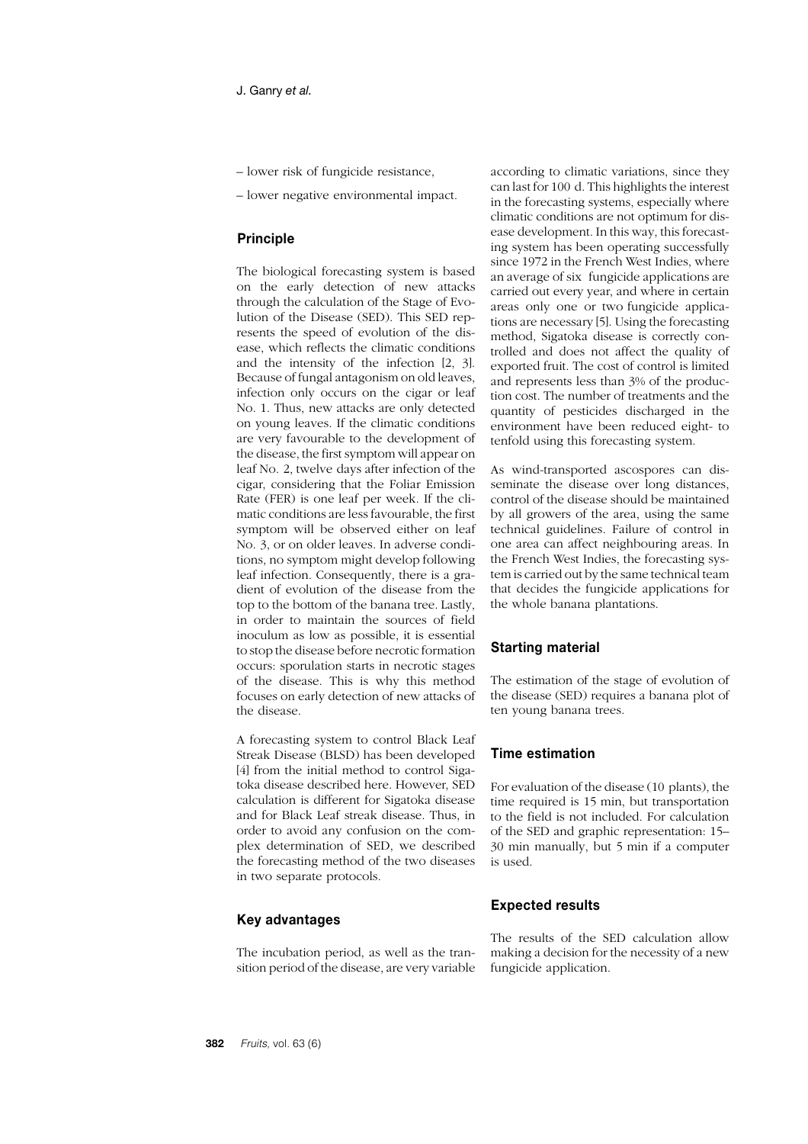- lower risk of fungicide resistance,
- lower negative environmental impact.

# **Principle**

The biological forecasting system is based on the early detection of new attacks through the calculation of the Stage of Evolution of the Disease (SED). This SED represents the speed of evolution of the disease, which reflects the climatic conditions and the intensity of the infection [2, 3]. Because of fungal antagonism on old leaves, infection only occurs on the cigar or leaf No. 1. Thus, new attacks are only detected on young leaves. If the climatic conditions are very favourable to the development of the disease, the first symptom will appear on leaf No. 2, twelve days after infection of the cigar, considering that the Foliar Emission Rate (FER) is one leaf per week. If the climatic conditions are less favourable, the first symptom will be observed either on leaf No. 3, or on older leaves. In adverse conditions, no symptom might develop following leaf infection. Consequently, there is a gradient of evolution of the disease from the top to the bottom of the banana tree. Lastly, in order to maintain the sources of field inoculum as low as possible, it is essential to stop the disease before necrotic formation occurs: sporulation starts in necrotic stages of the disease. This is why this method focuses on early detection of new attacks of the disease.

A forecasting system to control Black Leaf Streak Disease (BLSD) has been developed [4] from the initial method to control Sigatoka disease described here. However, SED calculation is different for Sigatoka disease and for Black Leaf streak disease. Thus, in order to avoid any confusion on the complex determination of SED, we described the forecasting method of the two diseases in two separate protocols.

## **Key advantages**

The incubation period, as well as the transition period of the disease, are very variable according to climatic variations, since they can last for 100 d. This highlights the interest in the forecasting systems, especially where climatic conditions are not optimum for disease development. In this way, this forecasting system has been operating successfully since 1972 in the French West Indies, where an average of six fungicide applications are carried out every year, and where in certain areas only one or two fungicide applications are necessary [5]. Using the forecasting method, Sigatoka disease is correctly controlled and does not affect the quality of exported fruit. The cost of control is limited and represents less than 3% of the production cost. The number of treatments and the quantity of pesticides discharged in the environment have been reduced eight- to tenfold using this forecasting system.

As wind-transported ascospores can disseminate the disease over long distances, control of the disease should be maintained by all growers of the area, using the same technical guidelines. Failure of control in one area can affect neighbouring areas. In the French West Indies, the forecasting system is carried out by the same technical team that decides the fungicide applications for the whole banana plantations.

# **Starting material**

The estimation of the stage of evolution of the disease (SED) requires a banana plot of ten young banana trees.

# **Time estimation**

For evaluation of the disease (10 plants), the time required is 15 min, but transportation to the field is not included. For calculation of the SED and graphic representation: 15– 30 min manually, but 5 min if a computer is used.

# **Expected results**

The results of the SED calculation allow making a decision for the necessity of a new fungicide application.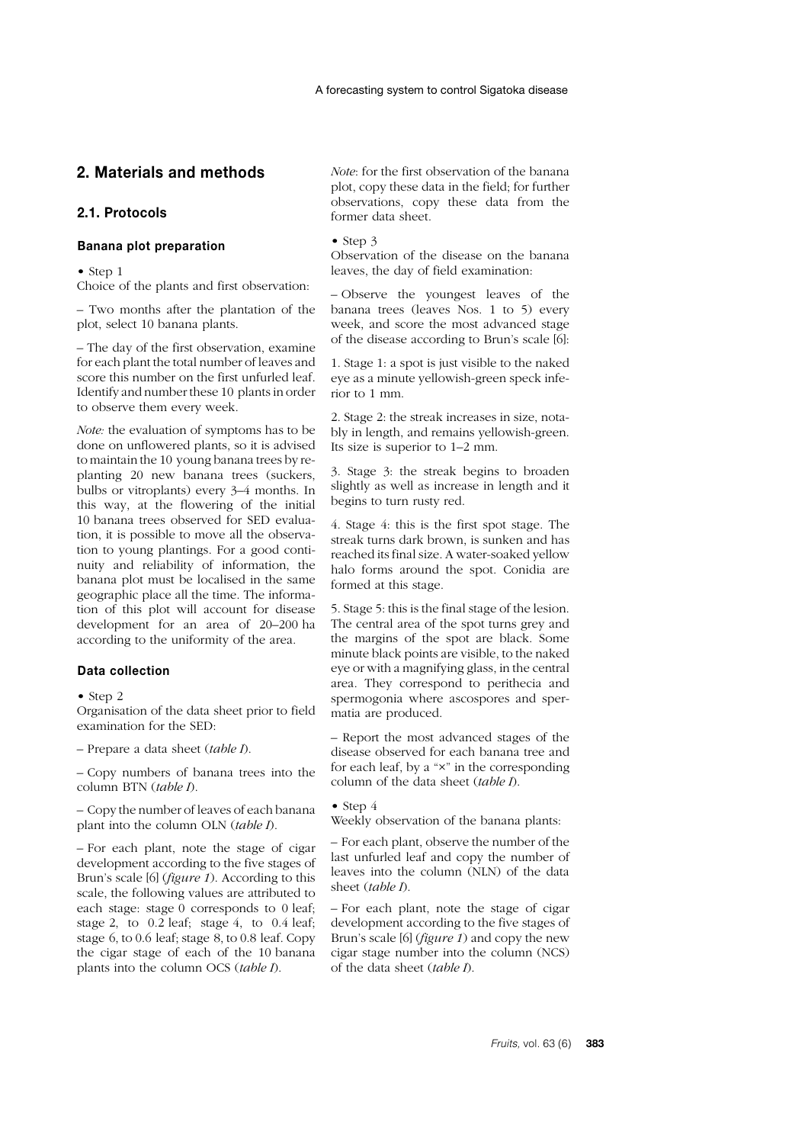# **2. Materials and methods**

# **2.1. Protocols**

#### **Banana plot preparation**

• Step 1

Choice of the plants and first observation:

– Two months after the plantation of the plot, select 10 banana plants.

– The day of the first observation, examine for each plant the total number of leaves and score this number on the first unfurled leaf. Identify and number these 10 plants in order to observe them every week.

*Note:* the evaluation of symptoms has to be done on unflowered plants, so it is advised to maintain the 10 young banana trees by replanting 20 new banana trees (suckers, bulbs or vitroplants) every 3–4 months. In this way, at the flowering of the initial 10 banana trees observed for SED evaluation, it is possible to move all the observation to young plantings. For a good continuity and reliability of information, the banana plot must be localised in the same geographic place all the time. The information of this plot will account for disease development for an area of 20–200 ha according to the uniformity of the area.

#### **Data collection**

 $\bullet$  Step 2

Organisation of the data sheet prior to field examination for the SED:

– Prepare a data sheet (*table I*).

– Copy numbers of banana trees into the column BTN (*table I*).

– Copy the number of leaves of each banana plant into the column OLN (*table I*).

– For each plant, note the stage of cigar development according to the five stages of Brun's scale [6] (*figure 1*). According to this scale, the following values are attributed to each stage: stage 0 corresponds to 0 leaf; stage 2, to 0.2 leaf; stage 4, to 0.4 leaf; stage 6, to 0.6 leaf; stage 8, to 0.8 leaf. Copy the cigar stage of each of the 10 banana plants into the column OCS (*table I*).

*Note*: for the first observation of the banana plot, copy these data in the field; for further observations, copy these data from the former data sheet.

#### $\bullet$  Step 3

Observation of the disease on the banana leaves, the day of field examination:

– Observe the youngest leaves of the banana trees (leaves Nos. 1 to 5) every week, and score the most advanced stage of the disease according to Brun's scale [6]:

1. Stage 1: a spot is just visible to the naked eye as a minute yellowish-green speck inferior to 1 mm.

2. Stage 2: the streak increases in size, notably in length, and remains yellowish-green. Its size is superior to 1–2 mm.

3. Stage 3: the streak begins to broaden slightly as well as increase in length and it begins to turn rusty red.

4. Stage 4: this is the first spot stage. The streak turns dark brown, is sunken and has reached its final size. A water-soaked yellow halo forms around the spot. Conidia are formed at this stage.

5. Stage 5: this is the final stage of the lesion. The central area of the spot turns grey and the margins of the spot are black. Some minute black points are visible, to the naked eye or with a magnifying glass, in the central area. They correspond to perithecia and spermogonia where ascospores and spermatia are produced.

– Report the most advanced stages of the disease observed for each banana tree and for each leaf, by a "×" in the corresponding column of the data sheet (*table I*).

 $\bullet$  Step 4

Weekly observation of the banana plants:

– For each plant, observe the number of the last unfurled leaf and copy the number of leaves into the column (NLN) of the data sheet (*table I*).

– For each plant, note the stage of cigar development according to the five stages of Brun's scale [6] (*figure 1*) and copy the new cigar stage number into the column (NCS) of the data sheet (*table I*).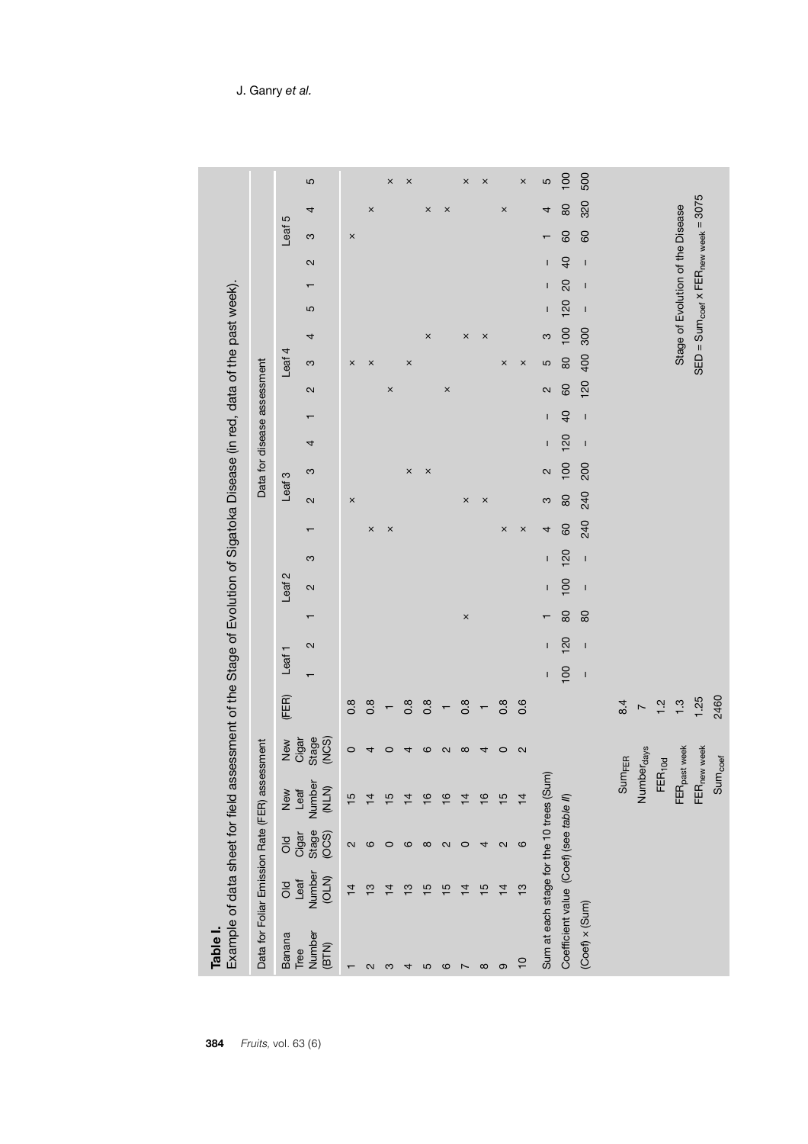|                         | Example of data sheet for field assessment of the bidge of the bidgatoka Disease (in red, data of the past week). |                                   |                                |                                |                          |                   |              |                |                   |              |          |                       |                             |              |                |                   |          |                                   |              |                |                 |                       |                                                  |          |
|-------------------------|-------------------------------------------------------------------------------------------------------------------|-----------------------------------|--------------------------------|--------------------------------|--------------------------|-------------------|--------------|----------------|-------------------|--------------|----------|-----------------------|-----------------------------|--------------|----------------|-------------------|----------|-----------------------------------|--------------|----------------|-----------------|-----------------------|--------------------------------------------------|----------|
|                         | Data for Foliar Emission Rate (FER) assessment                                                                    |                                   |                                |                                |                          |                   |              |                |                   |              |          |                       | Data for disease assessment |              |                |                   |          |                                   |              |                |                 |                       |                                                  |          |
| Banana                  | hear<br>Dio                                                                                                       |                                   |                                |                                | (FER)                    | Leaf <sub>1</sub> |              |                | Leaf <sub>2</sub> |              |          |                       | Leaf 3                      |              |                |                   | Leaf 4   |                                   |              |                |                 | Leaf 5                |                                                  |          |
| Number<br>(BTN)<br>Tree | Number<br>(OLN)                                                                                                   | 0<br>Ciga<br>Ciga<br>Ciga<br>Ciga | New<br>Leaf<br>Number<br>(NLN) | New<br>Cigar<br>Stage<br>(NCS) |                          |                   | $\sim$       | $\mathbf \tau$ | $\sim$            | S            |          | $\sim$                | S                           | 4            |                | $\mathbf{\Omega}$ | S        | 4                                 | 5            | $\mathbf \tau$ | $\sim$          | S                     | 4                                                | 5        |
|                         | $\overline{4}$                                                                                                    | 2                                 | $\frac{5}{1}$                  | $\circ$                        | $0.\overline{8}$         |                   |              |                |                   |              |          | $\boldsymbol{\times}$ |                             |              |                |                   | $\times$ |                                   |              |                |                 | $\boldsymbol{\times}$ |                                                  |          |
| $\sim$                  | $\frac{3}{2}$                                                                                                     | ဖ                                 | $\overline{4}$                 | 4                              | $0.\overline{8}$         |                   |              |                |                   |              | $\times$ |                       |                             |              |                |                   | $\times$ |                                   |              |                |                 |                       | $\pmb{\times}$                                   |          |
| ო                       | $\overline{4}$                                                                                                    | $\circ$                           | $\overline{15}$                | $\circ$                        |                          |                   |              |                |                   |              | $\times$ |                       |                             |              |                | $\times$          |          |                                   |              |                |                 |                       |                                                  | $\times$ |
| 4                       | $\frac{1}{2}$                                                                                                     | ဖ                                 | $\overline{4}$                 | 4                              | $0.\overline{8}$         |                   |              |                |                   |              |          |                       | $\times$                    |              |                |                   | $\times$ |                                   |              |                |                 |                       |                                                  | $\times$ |
| 5                       | 5                                                                                                                 | $\infty$                          | $\overline{\circ}$             | $\circ$                        | $0.\overline{8}$         |                   |              |                |                   |              |          |                       | $\times$                    |              |                |                   |          | $\times$                          |              |                |                 |                       | ×                                                |          |
| ဖ                       | 5                                                                                                                 | $\sim$                            | $\overline{6}$                 | $\sim$                         |                          |                   |              |                |                   |              |          |                       |                             |              |                | $\times$          |          |                                   |              |                |                 |                       | $\times$                                         |          |
|                         | $\overline{4}$                                                                                                    | $\circ$                           | $\overline{4}$                 | $\infty$                       | $0.\overline{8}$         |                   |              | $\times$       |                   |              |          | ×                     |                             |              |                |                   |          | ×                                 |              |                |                 |                       |                                                  | $\times$ |
| $\infty$                | $\frac{5}{1}$                                                                                                     | 4                                 | $\frac{6}{1}$                  | 4                              | $\overline{\phantom{0}}$ |                   |              |                |                   |              |          | $\times$              |                             |              |                |                   |          | $\times$                          |              |                |                 |                       |                                                  | $\times$ |
| တ                       | $\overline{4}$                                                                                                    | $\sim$                            | $\frac{5}{1}$                  | $\circ$                        | $0.\overline{8}$         |                   |              |                |                   |              | $\times$ |                       |                             |              |                |                   | $\times$ |                                   |              |                |                 |                       | $\boldsymbol{\times}$                            |          |
| $\overline{10}$         | S                                                                                                                 | ဖ                                 | $\overline{4}$                 | 2                              | 0.6                      |                   |              |                |                   |              | $\times$ |                       |                             |              |                |                   | ×        |                                   |              |                |                 |                       |                                                  | ×        |
|                         | Sum at each stage for the 10 trees (Sui                                                                           |                                   | $\widehat{\epsilon}$           |                                |                          | L                 | I.           | $\mathbf$      | $\mathbf{I}$      | I            | 4        | က                     | $\sim$                      | $\mathbf{I}$ | $\mathbf{I}$   | 2                 | 5        | က                                 | $\mathbf{I}$ | I              | $\overline{1}$  |                       | 4                                                | LO       |
|                         | Coefficient value (Coef) (see table II)                                                                           |                                   |                                |                                |                          | 100               | 120          | 80             | 100               | 120          | 60       | 80                    | 100                         | 120          | $\overline{a}$ | 60                | 80       | 100                               | 120          | 20             | $\overline{40}$ | 60                    | 80                                               | 100      |
| $(Coef) \times (Sum)$   |                                                                                                                   |                                   |                                |                                |                          | $\mathbf{I}$      | $\mathbf{I}$ | 80             | $\mathbf{I}$      | $\mathbf{I}$ | 240      | 240                   | 200                         | $\mathbf{I}$ | $\mathbf{I}$   | 120               | 400      | 300                               | $\mathbf{I}$ | $\mathbf{I}$   | $\mathbf{I}$    | 60                    | 320                                              | 500      |
|                         |                                                                                                                   |                                   | Sum <sub>FER</sub>             |                                | 8.4                      |                   |              |                |                   |              |          |                       |                             |              |                |                   |          |                                   |              |                |                 |                       |                                                  |          |
|                         |                                                                                                                   |                                   | Numberdays                     |                                | $\overline{ }$           |                   |              |                |                   |              |          |                       |                             |              |                |                   |          |                                   |              |                |                 |                       |                                                  |          |
|                         |                                                                                                                   |                                   | $FER_{10d}$                    |                                | 1.2                      |                   |              |                |                   |              |          |                       |                             |              |                |                   |          |                                   |              |                |                 |                       |                                                  |          |
|                         |                                                                                                                   |                                   | FER <sub>past week</sub>       |                                | 1.3                      |                   |              |                |                   |              |          |                       |                             |              |                |                   |          | Stage of Evolution of the Disease |              |                |                 |                       |                                                  |          |
|                         |                                                                                                                   |                                   | FER <sub>new week</sub>        |                                | 1.25                     |                   |              |                |                   |              |          |                       |                             |              |                |                   |          |                                   |              |                |                 |                       | $SED = Sum_{coeff} \times FER_{new week} = 3075$ |          |
|                         |                                                                                                                   |                                   | Sum <sub>coef</sub>            |                                | 2460                     |                   |              |                |                   |              |          |                       |                             |              |                |                   |          |                                   |              |                |                 |                       |                                                  |          |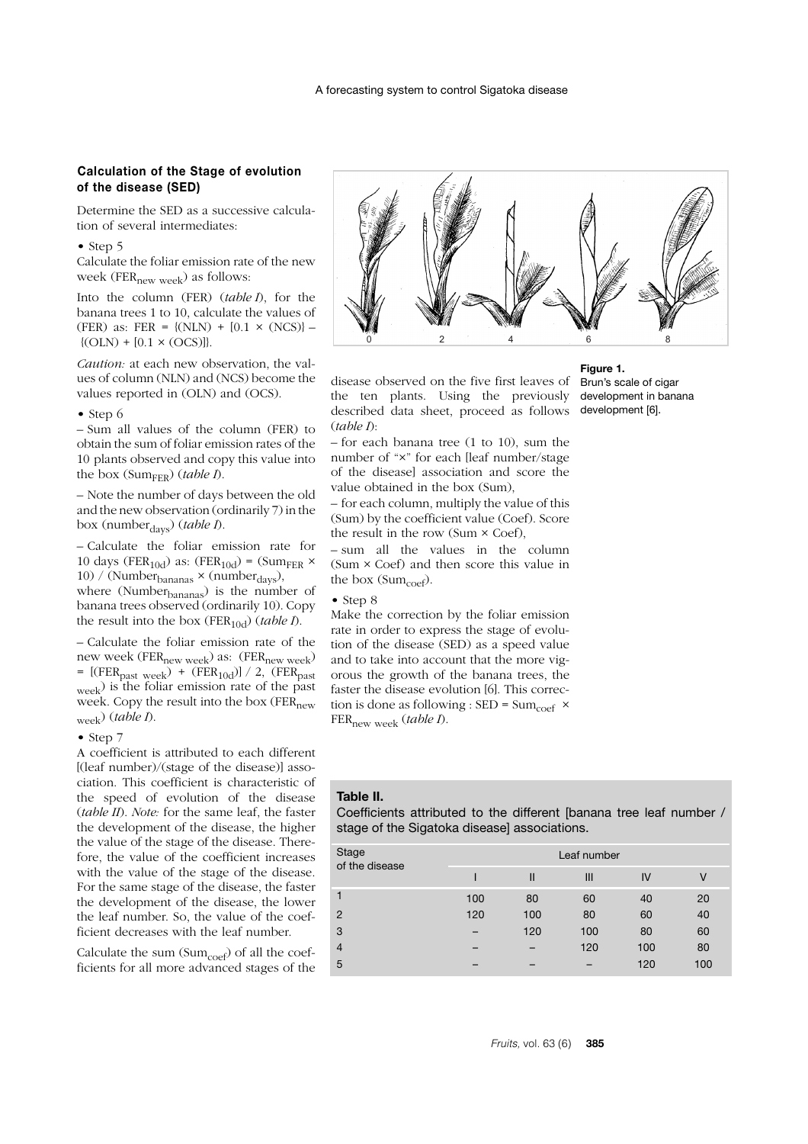# **Calculation of the Stage of evolution of the disease (SED)**

Determine the SED as a successive calculation of several intermediates:

#### • Step 5

Calculate the foliar emission rate of the new week ( $FER_{new week}$ ) as follows:

Into the column (FER) (*table I*), for the banana trees 1 to 10, calculate the values of (FER) as: FER = { $(NLN)$  + [0.1 × (NCS)} –  ${ (OLN) + [0.1 \times (OCS)] }$ 

*Caution:* at each new observation, the values of column (NLN) and (NCS) become the values reported in (OLN) and (OCS).

#### • Step 6

– Sum all values of the column (FER) to obtain the sum of foliar emission rates of the 10 plants observed and copy this value into the box (Sum $_{\text{FER}}$ ) (*table I*).

– Note the number of days between the old and the new observation (ordinarily 7) in the box (number<sub>days</sub>) (*table I*).

– Calculate the foliar emission rate for 10 days (FER<sub>10d</sub>) as: (FER<sub>10d</sub>) = (Sum<sub>FER</sub>  $\times$ 10) / (Number $_{\text{bananas}} \times$  (number<sub>days</sub>), where (Number<sub>bananas</sub>) is the number of banana trees observed (ordinarily 10). Copy the result into the box (FER<sub>10d</sub>) (*table I*).

– Calculate the foliar emission rate of the new week (FER<sub>new week</sub>) as: (FER<sub>new week</sub>)  $=$  [(FER<sub>past week</sub>) + (FER<sub>10d</sub>)] / 2, (FER<sub>past</sub> week) is the foliar emission rate of the past week. Copy the result into the box (FER<sub>new</sub> week) (*table I*).

#### • Step 7

A coefficient is attributed to each different [(leaf number)/(stage of the disease)] association. This coefficient is characteristic of the speed of evolution of the disease (*table II*). *Note:* for the same leaf, the faster the development of the disease, the higher the value of the stage of the disease. Therefore, the value of the coefficient increases with the value of the stage of the disease. For the same stage of the disease, the faster the development of the disease, the lower the leaf number. So, the value of the coefficient decreases with the leaf number.

Calculate the sum  $(Sum_{coeff})$  of all the coefficients for all more advanced stages of the



disease observed on the five first leaves of the ten plants. Using the previously described data sheet, proceed as follows (*table I*):

– for each banana tree (1 to 10), sum the number of "×" for each [leaf number/stage of the disease] association and score the value obtained in the box (Sum),

– for each column, multiply the value of this (Sum) by the coefficient value (Coef). Score the result in the row (Sum × Coef),

– sum all the values in the column (Sum × Coef) and then score this value in the box  $(Sum_{\text{coeff}})$ .

#### • Step 8

Make the correction by the foliar emission rate in order to express the stage of evolution of the disease (SED) as a speed value and to take into account that the more vigorous the growth of the banana trees, the faster the disease evolution [6]. This correction is done as following : SED =  $Sum_{coeff}$  × FERnew week (*table I*).

#### **Table II.**

Coefficients attributed to the different [banana tree leaf number / stage of the Sigatoka diseasel associations.

| Stage<br>of the disease |     |              | Leaf number |     |     |
|-------------------------|-----|--------------|-------------|-----|-----|
|                         |     | $\mathsf{I}$ | Ш           | IV  | V   |
|                         | 100 | 80           | 60          | 40  | 20  |
| $\mathcal{P}$           | 120 | 100          | 80          | 60  | 40  |
| 3                       |     | 120          | 100         | 80  | 60  |
| $\overline{4}$          |     |              | 120         | 100 | 80  |
| 5                       |     |              |             | 120 | 100 |

# **Figure 1.** Brun's scale of cigar

development in banana development [6].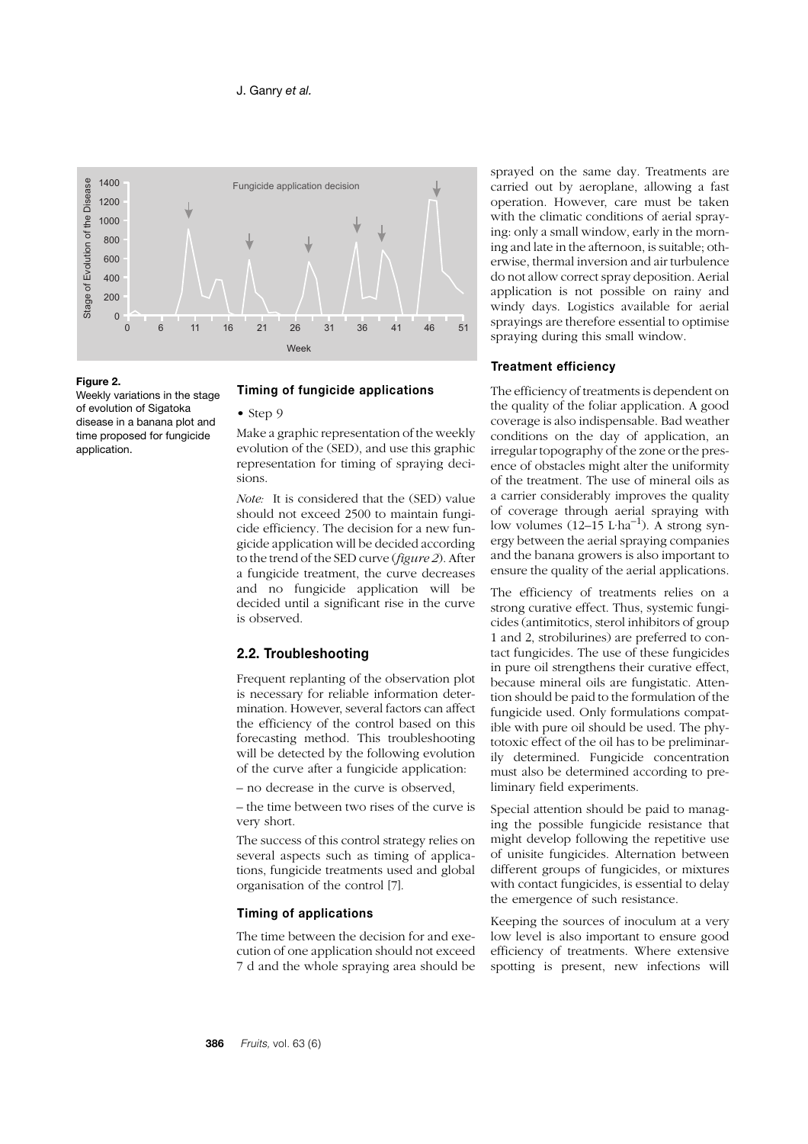

#### **Figure 2.**

Weekly variations in the stage of evolution of Sigatoka disease in a banana plot and time proposed for fungicide application.

#### **Timing of fungicide applications**

• Step 9

Make a graphic representation of the weekly evolution of the (SED), and use this graphic representation for timing of spraying decisions.

*Note:* It is considered that the (SED) value should not exceed 2500 to maintain fungicide efficiency. The decision for a new fungicide application will be decided according to the trend of the SED curve (*figure 2*). After a fungicide treatment, the curve decreases and no fungicide application will be decided until a significant rise in the curve is observed.

## **2.2. Troubleshooting**

Frequent replanting of the observation plot is necessary for reliable information determination. However, several factors can affect the efficiency of the control based on this forecasting method. This troubleshooting will be detected by the following evolution of the curve after a fungicide application:

– no decrease in the curve is observed,

– the time between two rises of the curve is very short.

The success of this control strategy relies on several aspects such as timing of applications, fungicide treatments used and global organisation of the control [7].

## **Timing of applications**

The time between the decision for and execution of one application should not exceed 7 d and the whole spraying area should be sprayed on the same day. Treatments are carried out by aeroplane, allowing a fast operation. However, care must be taken with the climatic conditions of aerial spraying: only a small window, early in the morning and late in the afternoon, is suitable; otherwise, thermal inversion and air turbulence do not allow correct spray deposition. Aerial application is not possible on rainy and windy days. Logistics available for aerial sprayings are therefore essential to optimise spraying during this small window.

#### **Treatment efficiency**

The efficiency of treatments is dependent on the quality of the foliar application. A good coverage is also indispensable. Bad weather conditions on the day of application, an irregular topography of the zone or the presence of obstacles might alter the uniformity of the treatment. The use of mineral oils as a carrier considerably improves the quality of coverage through aerial spraying with low volumes  $(12-15 \text{ L} \cdot \text{ha}^{-1})$ . A strong synergy between the aerial spraying companies and the banana growers is also important to ensure the quality of the aerial applications.

The efficiency of treatments relies on a strong curative effect. Thus, systemic fungicides (antimitotics, sterol inhibitors of group 1 and 2, strobilurines) are preferred to contact fungicides. The use of these fungicides in pure oil strengthens their curative effect, because mineral oils are fungistatic. Attention should be paid to the formulation of the fungicide used. Only formulations compatible with pure oil should be used. The phytotoxic effect of the oil has to be preliminarily determined. Fungicide concentration must also be determined according to preliminary field experiments.

Special attention should be paid to managing the possible fungicide resistance that might develop following the repetitive use of unisite fungicides. Alternation between different groups of fungicides, or mixtures with contact fungicides, is essential to delay the emergence of such resistance.

Keeping the sources of inoculum at a very low level is also important to ensure good efficiency of treatments. Where extensive spotting is present, new infections will